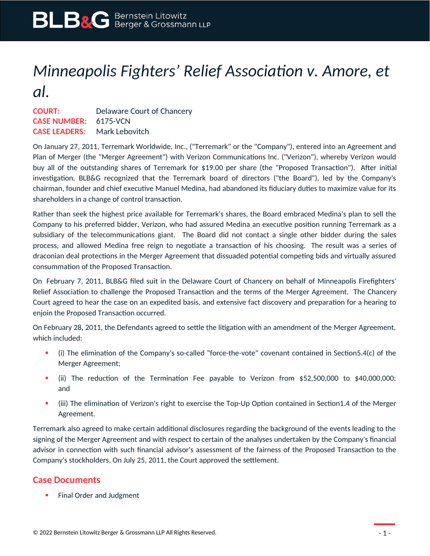## *Minneapolis Fighters' Relief Association v. Amore, et al.*

**COURT:** Delaware Court of Chancery **CASE NUMBER:** 6175-VCN **CASE LEADERS:** Mark Lebovitch

On January 27, 2011, Terremark Worldwide, Inc., ("Terremark" or the "Company"), entered into an Agreement and Plan of Merger (the "Merger Agreement") with Verizon Communications Inc. ("Verizon"), whereby Verizon would buy all of the outstanding shares of Terremark for \$19.00 per share (the "Proposed Transaction"). After initial investigation, BLB&G recognized that the Terremark board of directors ("the Board"), led by the Company's chairman, founder and chief executive Manuel Medina, had abandoned its fiduciary duties to maximize value for its shareholders in a change of control transaction.

Rather than seek the highest price available for Terremark's shares, the Board embraced Medina's plan to sell the Company to his preferred bidder, Verizon, who had assured Medina an executive position running Terremark as a subsidiary of the telecommunications giant. The Board did not contact a single other bidder during the sales process, and allowed Medina free reign to negotiate a transaction of his choosing. The result was a series of draconian deal protections in the Merger Agreement that dissuaded potential competing bids and virtually assured consummation of the Proposed Transaction.

On February 7, 2011, BLB&G filed suit in the Delaware Court of Chancery on behalf of Minneapolis Firefighters' Relief Association to challenge the Proposed Transaction and the terms of the Merger Agreement. The Chancery Court agreed to hear the case on an expedited basis, and extensive fact discovery and preparation for a hearing to enjoin the Proposed Transaction occurred.

On February 28, 2011, the Defendants agreed to settle the litigation with an amendment of the Merger Agreement, which included:

- (i) The elimination of the Company's so-called "force-the-vote" covenant contained in Section5.4(c) of the Merger Agreement;
- (ii) The reduction of the Termination Fee payable to Verizon from \$52,500,000 to \$40,000,000; and
- (iii) The elimination of Verizon's right to exercise the Top-Up Option contained in Section1.4 of the Merger Agreement.

Terremark also agreed to make certain additional disclosures regarding the background of the events leading to the signing of the Merger Agreement and with respect to certain of the analyses undertaken by the Company's financial advisor in connection with such financial advisor's assessment of the fairness of the Proposed Transaction to the Company's stockholders. On July 25, 2011, the Court approved the settlement.

## **Case Documents**

• Final Order and Judgment